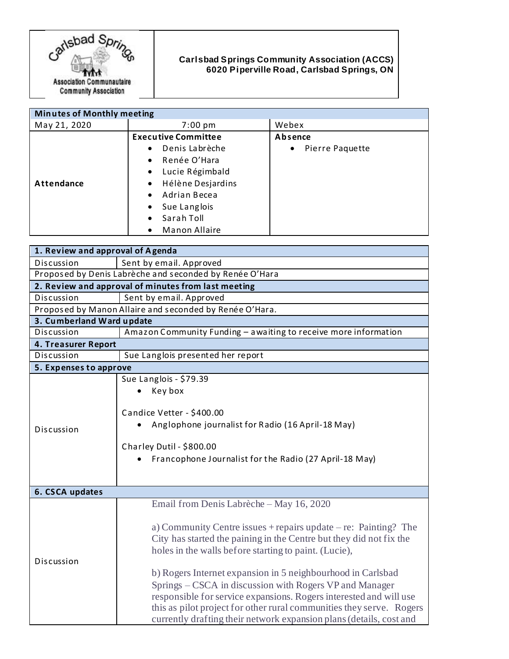

## **Carlsbad Springs Community Association (ACCS) 6020 Piperville Road, Carlsbad Springs, ON**

| <b>Minutes of Monthly meeting</b> |                                |                              |
|-----------------------------------|--------------------------------|------------------------------|
| May 21, 2020                      | $7:00 \text{ pm}$              | Webex                        |
|                                   | <b>Executive Committee</b>     | Absence                      |
|                                   | Denis Labrèche<br>$\bullet$    | Pierre Paquette<br>$\bullet$ |
|                                   | Renée O'Hara<br>$\bullet$      |                              |
|                                   | Lucie Régimbald<br>$\bullet$   |                              |
| Attendance                        | Hélène Desjardins<br>$\bullet$ |                              |
|                                   | Adrian Becea<br>$\bullet$      |                              |
|                                   | Sue Langlois<br>$\bullet$      |                              |
|                                   | Sarah Toll<br>$\bullet$        |                              |
|                                   | Manon Allaire<br>$\bullet$     |                              |

| 1. Review and approval of Agenda                        |                                                                                                                                                                                                                                                                                                                                                                                                                                                                                                                                                                                                |  |  |
|---------------------------------------------------------|------------------------------------------------------------------------------------------------------------------------------------------------------------------------------------------------------------------------------------------------------------------------------------------------------------------------------------------------------------------------------------------------------------------------------------------------------------------------------------------------------------------------------------------------------------------------------------------------|--|--|
| Discussion                                              | Sent by email. Approved                                                                                                                                                                                                                                                                                                                                                                                                                                                                                                                                                                        |  |  |
| Proposed by Denis Labrèche and seconded by Renée O'Hara |                                                                                                                                                                                                                                                                                                                                                                                                                                                                                                                                                                                                |  |  |
| 2. Review and approval of minutes from last meeting     |                                                                                                                                                                                                                                                                                                                                                                                                                                                                                                                                                                                                |  |  |
| Discussion                                              | Sent by email. Approved                                                                                                                                                                                                                                                                                                                                                                                                                                                                                                                                                                        |  |  |
| Proposed by Manon Allaire and seconded by Renée O'Hara. |                                                                                                                                                                                                                                                                                                                                                                                                                                                                                                                                                                                                |  |  |
| 3. Cumberland Ward update                               |                                                                                                                                                                                                                                                                                                                                                                                                                                                                                                                                                                                                |  |  |
| Discussion                                              | Amazon Community Funding - awaiting to receive more information                                                                                                                                                                                                                                                                                                                                                                                                                                                                                                                                |  |  |
| 4. Treasurer Report                                     |                                                                                                                                                                                                                                                                                                                                                                                                                                                                                                                                                                                                |  |  |
| Discussion                                              | Sue Langlois presented her report                                                                                                                                                                                                                                                                                                                                                                                                                                                                                                                                                              |  |  |
| 5. Expenses to approve                                  |                                                                                                                                                                                                                                                                                                                                                                                                                                                                                                                                                                                                |  |  |
| Discussion                                              | Sue Langlois - \$79.39<br>Key box<br>Candice Vetter - \$400.00<br>Anglophone journalist for Radio (16 April-18 May)<br>Charley Dutil - \$800.00<br>Francophone Journalist for the Radio (27 April-18 May)                                                                                                                                                                                                                                                                                                                                                                                      |  |  |
| 6. CSCA updates                                         |                                                                                                                                                                                                                                                                                                                                                                                                                                                                                                                                                                                                |  |  |
| Discussion                                              | Email from Denis Labrèche - May 16, 2020<br>a) Community Centre issues $+$ repairs update $-$ re: Painting? The<br>City has started the paining in the Centre but they did not fix the<br>holes in the walls before starting to paint. (Lucie),<br>b) Rogers Internet expansion in 5 neighbourhood in Carlsbad<br>Springs – CSCA in discussion with Rogers VP and Manager<br>responsible for service expansions. Rogers interested and will use<br>this as pilot project for other rural communities they serve. Rogers<br>currently drafting their network expansion plans (details, cost and |  |  |